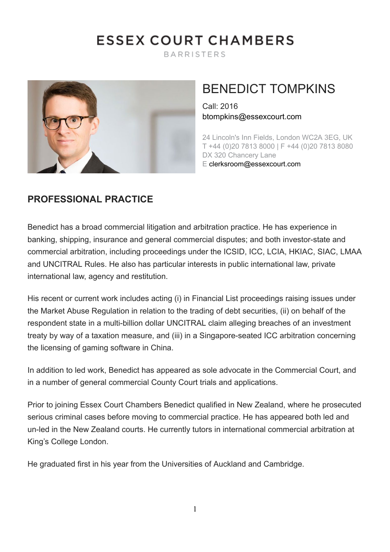# **ESSEX COURT CHAMBERS**

**BARRISTERS** 



# BENEDICT TOMPKINS

Call: 2016 [btompkins@essexcourt.com](mailto:btompkins@essexcourt.com)

24 Lincoln's Inn Fields, London WC2A 3EG, UK T +44 (0)20 7813 8000 | F +44 (0)20 7813 8080 DX 320 Chancery Lane E [clerksroom@essexcourt.com](mailto:clerksroom@essexcourt.com)

#### **PROFESSIONAL PRACTICE**

Benedict has a broad commercial litigation and arbitration practice. He has experience in banking, shipping, insurance and general commercial disputes; and both investor-state and commercial arbitration, including proceedings under the ICSID, ICC, LCIA, HKIAC, SIAC, LMAA and UNCITRAL Rules. He also has particular interests in public international law, private international law, agency and restitution.

His recent or current work includes acting (i) in Financial List proceedings raising issues under the Market Abuse Regulation in relation to the trading of debt securities, (ii) on behalf of the respondent state in a multi-billion dollar UNCITRAL claim alleging breaches of an investment treaty by way of a taxation measure, and (iii) in a Singapore-seated ICC arbitration concerning the licensing of gaming software in China.

In addition to led work, Benedict has appeared as sole advocate in the Commercial Court, and in a number of general commercial County Court trials and applications.

Prior to joining Essex Court Chambers Benedict qualified in New Zealand, where he prosecuted serious criminal cases before moving to commercial practice. He has appeared both led and un-led in the New Zealand courts. He currently tutors in international commercial arbitration at King's College London.

He graduated first in his year from the Universities of Auckland and Cambridge.

1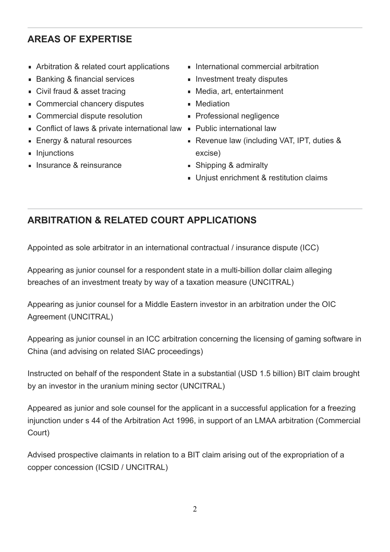# **AREAS OF EXPERTISE**

- **EXECUTE:** Arbitration & related court applications
- Banking & financial services
- Civil fraud & asset tracing
- Commercial chancery disputes
- Commercial dispute resolution
- Conflict of laws & private international law Public international law
- Energy & natural resources
- **Injunctions**
- **Insurance & reinsurance**
- **International commercial arbitration**
- **Investment treaty disputes**
- Media, art, entertainment
- **Mediation**
- **Professional negligence**
- 
- Revenue law (including VAT, IPT, duties & excise)
- Shipping & admiralty
- **Unjust enrichment & restitution claims**

# **ARBITRATION & RELATED COURT APPLICATIONS**

Appointed as sole arbitrator in an international contractual / insurance dispute (ICC)

Appearing as junior counsel for a respondent state in a multi-billion dollar claim alleging breaches of an investment treaty by way of a taxation measure (UNCITRAL)

Appearing as junior counsel for a Middle Eastern investor in an arbitration under the OIC Agreement (UNCITRAL)

Appearing as junior counsel in an ICC arbitration concerning the licensing of gaming software in China (and advising on related SIAC proceedings)

Instructed on behalf of the respondent State in a substantial (USD 1.5 billion) BIT claim brought by an investor in the uranium mining sector (UNCITRAL)

Appeared as junior and sole counsel for the applicant in a successful application for a freezing injunction under s 44 of the Arbitration Act 1996, in support of an LMAA arbitration (Commercial Court)

Advised prospective claimants in relation to a BIT claim arising out of the expropriation of a copper concession (ICSID / UNCITRAL)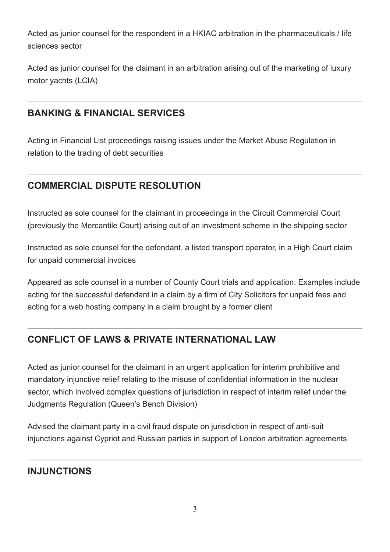Acted as junior counsel for the respondent in a HKIAC arbitration in the pharmaceuticals / life sciences sector

Acted as junior counsel for the claimant in an arbitration arising out of the marketing of luxury motor yachts (LCIA)

#### **BANKING & FINANCIAL SERVICES**

Acting in Financial List proceedings raising issues under the Market Abuse Regulation in relation to the trading of debt securities

# **COMMERCIAL DISPUTE RESOLUTION**

Instructed as sole counsel for the claimant in proceedings in the Circuit Commercial Court (previously the Mercantile Court) arising out of an investment scheme in the shipping sector

Instructed as sole counsel for the defendant, a listed transport operator, in a High Court claim for unpaid commercial invoices

Appeared as sole counsel in a number of County Court trials and application. Examples include acting for the successful defendant in a claim by a firm of City Solicitors for unpaid fees and acting for a web hosting company in a claim brought by a former client

# **CONFLICT OF LAWS & PRIVATE INTERNATIONAL LAW**

Acted as junior counsel for the claimant in an urgent application for interim prohibitive and mandatory injunctive relief relating to the misuse of confidential information in the nuclear sector, which involved complex questions of jurisdiction in respect of interim relief under the Judgments Regulation (Queen's Bench Division)

Advised the claimant party in a civil fraud dispute on jurisdiction in respect of anti-suit injunctions against Cypriot and Russian parties in support of London arbitration agreements

## **INJUNCTIONS**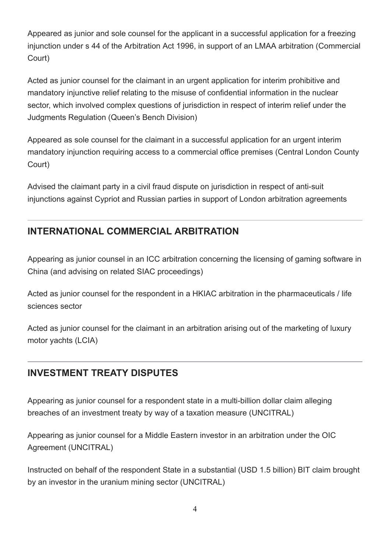Appeared as junior and sole counsel for the applicant in a successful application for a freezing injunction under s 44 of the Arbitration Act 1996, in support of an LMAA arbitration (Commercial Court)

Acted as junior counsel for the claimant in an urgent application for interim prohibitive and mandatory injunctive relief relating to the misuse of confidential information in the nuclear sector, which involved complex questions of jurisdiction in respect of interim relief under the Judgments Regulation (Queen's Bench Division)

Appeared as sole counsel for the claimant in a successful application for an urgent interim mandatory injunction requiring access to a commercial office premises (Central London County Court)

Advised the claimant party in a civil fraud dispute on jurisdiction in respect of anti-suit injunctions against Cypriot and Russian parties in support of London arbitration agreements

## **INTERNATIONAL COMMERCIAL ARBITRATION**

Appearing as junior counsel in an ICC arbitration concerning the licensing of gaming software in China (and advising on related SIAC proceedings)

Acted as junior counsel for the respondent in a HKIAC arbitration in the pharmaceuticals / life sciences sector

Acted as junior counsel for the claimant in an arbitration arising out of the marketing of luxury motor yachts (LCIA)

## **INVESTMENT TREATY DISPUTES**

Appearing as junior counsel for a respondent state in a multi-billion dollar claim alleging breaches of an investment treaty by way of a taxation measure (UNCITRAL)

Appearing as junior counsel for a Middle Eastern investor in an arbitration under the OIC Agreement (UNCITRAL)

Instructed on behalf of the respondent State in a substantial (USD 1.5 billion) BIT claim brought by an investor in the uranium mining sector (UNCITRAL)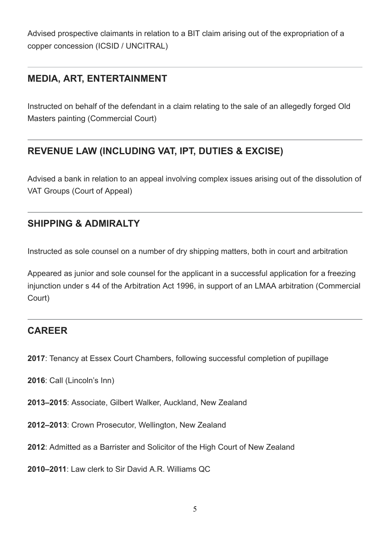Advised prospective claimants in relation to a BIT claim arising out of the expropriation of a copper concession (ICSID / UNCITRAL)

#### **MEDIA, ART, ENTERTAINMENT**

Instructed on behalf of the defendant in a claim relating to the sale of an allegedly forged Old Masters painting (Commercial Court)

# **REVENUE LAW (INCLUDING VAT, IPT, DUTIES & EXCISE)**

Advised a bank in relation to an appeal involving complex issues arising out of the dissolution of VAT Groups (Court of Appeal)

#### **SHIPPING & ADMIRALTY**

Instructed as sole counsel on a number of dry shipping matters, both in court and arbitration

Appeared as junior and sole counsel for the applicant in a successful application for a freezing injunction under s 44 of the Arbitration Act 1996, in support of an LMAA arbitration (Commercial Court)

#### **CAREER**

- **2017**: Tenancy at Essex Court Chambers, following successful completion of pupillage
- **2016**: Call (Lincoln's Inn)
- **2013–2015**: Associate, Gilbert Walker, Auckland, New Zealand
- **2012–2013**: Crown Prosecutor, Wellington, New Zealand
- **2012**: Admitted as a Barrister and Solicitor of the High Court of New Zealand
- **2010–2011**: Law clerk to Sir David A.R. Williams QC